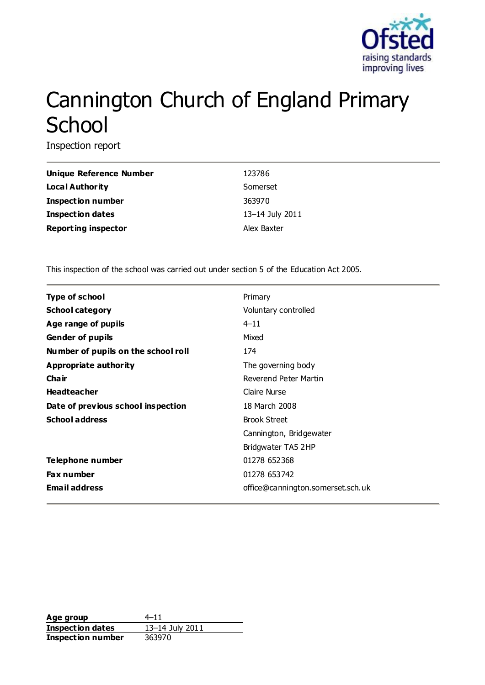

# Cannington Church of England Primary **School**

Inspection report

| Unique Reference Number    | 123786          |
|----------------------------|-----------------|
| <b>Local Authority</b>     | Somerset        |
| <b>Inspection number</b>   | 363970          |
| <b>Inspection dates</b>    | 13-14 July 2011 |
| <b>Reporting inspector</b> | Alex Baxter     |

This inspection of the school was carried out under section 5 of the Education Act 2005.

| <b>Type of school</b>               | Primary                           |
|-------------------------------------|-----------------------------------|
| <b>School category</b>              | Voluntary controlled              |
| Age range of pupils                 | $4 - 11$                          |
| <b>Gender of pupils</b>             | Mixed                             |
| Number of pupils on the school roll | 174                               |
| Appropriate authority               | The governing body                |
| Cha ir                              | Reverend Peter Martin             |
| <b>Headteacher</b>                  | Claire Nurse                      |
| Date of previous school inspection  | 18 March 2008                     |
| <b>School address</b>               | <b>Brook Street</b>               |
|                                     | Cannington, Bridgewater           |
|                                     | Bridgwater TA5 2HP                |
| Telephone number                    | 01278 652368                      |
| <b>Fax number</b>                   | 01278 653742                      |
| <b>Email address</b>                | office@cannington.somerset.sch.uk |

**Age group** 4–11 **Inspection dates** 13–14 July 2011 **Inspection number** 363970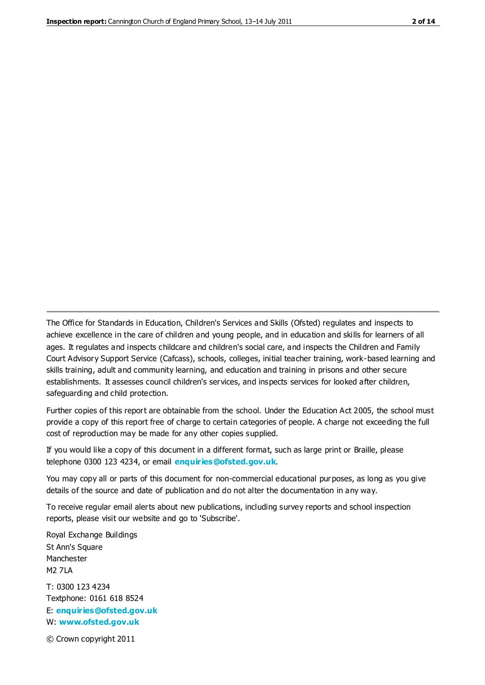The Office for Standards in Education, Children's Services and Skills (Ofsted) regulates and inspects to achieve excellence in the care of children and young people, and in education and skills for learners of all ages. It regulates and inspects childcare and children's social care, and inspects the Children and Family Court Advisory Support Service (Cafcass), schools, colleges, initial teacher training, work-based learning and skills training, adult and community learning, and education and training in prisons and other secure establishments. It assesses council children's services, and inspects services for looked after children, safeguarding and child protection.

Further copies of this report are obtainable from the school. Under the Education Act 2005, the school must provide a copy of this report free of charge to certain categories of people. A charge not exceeding the full cost of reproduction may be made for any other copies supplied.

If you would like a copy of this document in a different format, such as large print or Braille, please telephone 0300 123 4234, or email **[enquiries@ofsted.gov.uk](mailto:enquiries@ofsted.gov.uk)**.

You may copy all or parts of this document for non-commercial educational purposes, as long as you give details of the source and date of publication and do not alter the documentation in any way.

To receive regular email alerts about new publications, including survey reports and school inspection reports, please visit our website and go to 'Subscribe'.

Royal Exchange Buildings St Ann's Square Manchester M2 7LA T: 0300 123 4234 Textphone: 0161 618 8524 E: **[enquiries@ofsted.gov.uk](mailto:enquiries@ofsted.gov.uk)**

W: **[www.ofsted.gov.uk](http://www.ofsted.gov.uk/)**

© Crown copyright 2011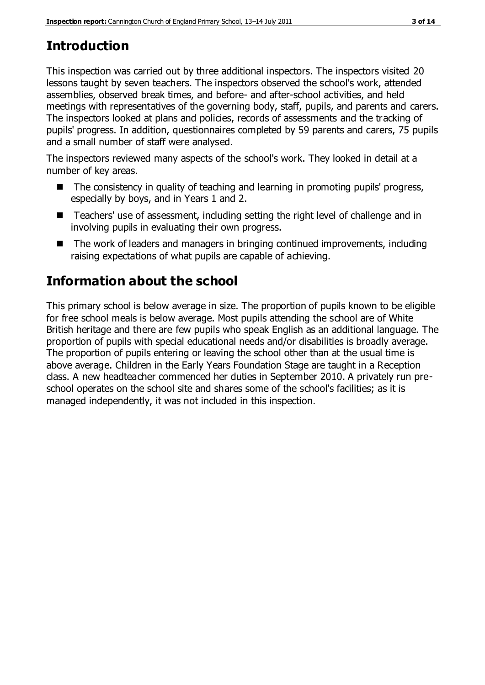## **Introduction**

This inspection was carried out by three additional inspectors. The inspectors visited 20 lessons taught by seven teachers. The inspectors observed the school's work, attended assemblies, observed break times, and before- and after-school activities, and held meetings with representatives of the governing body, staff, pupils, and parents and carers. The inspectors looked at plans and policies, records of assessments and the tracking of pupils' progress. In addition, questionnaires completed by 59 parents and carers, 75 pupils and a small number of staff were analysed.

The inspectors reviewed many aspects of the school's work. They looked in detail at a number of key areas.

- $\blacksquare$  The consistency in quality of teaching and learning in promoting pupils' progress, especially by boys, and in Years 1 and 2.
- Teachers' use of assessment, including setting the right level of challenge and in involving pupils in evaluating their own progress.
- The work of leaders and managers in bringing continued improvements, including raising expectations of what pupils are capable of achieving.

# **Information about the school**

This primary school is below average in size. The proportion of pupils known to be eligible for free school meals is below average. Most pupils attending the school are of White British heritage and there are few pupils who speak English as an additional language. The proportion of pupils with special educational needs and/or disabilities is broadly average. The proportion of pupils entering or leaving the school other than at the usual time is above average. Children in the Early Years Foundation Stage are taught in a Reception class. A new headteacher commenced her duties in September 2010. A privately run preschool operates on the school site and shares some of the school's facilities; as it is managed independently, it was not included in this inspection.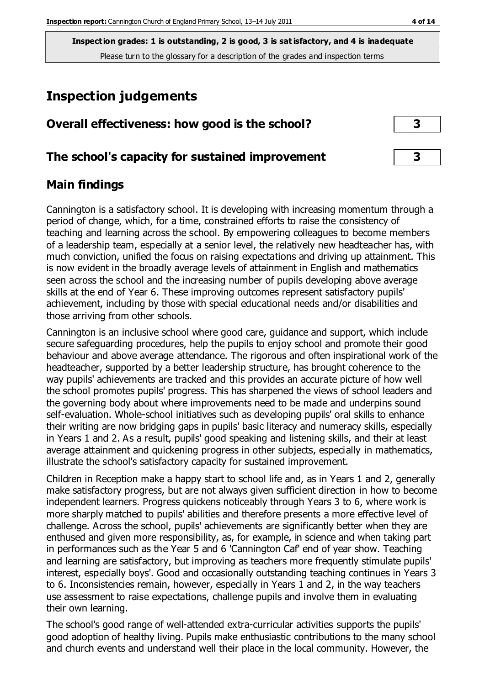### **Inspection judgements**

| Overall effectiveness: how good is the school? |
|------------------------------------------------|
|------------------------------------------------|

### **The school's capacity for sustained improvement 3**

### **Main findings**

Cannington is a satisfactory school. It is developing with increasing momentum through a period of change, which, for a time, constrained efforts to raise the consistency of teaching and learning across the school. By empowering colleagues to become members of a leadership team, especially at a senior level, the relatively new headteacher has, with much conviction, unified the focus on raising expectations and driving up attainment. This is now evident in the broadly average levels of attainment in English and mathematics seen across the school and the increasing number of pupils developing above average skills at the end of Year 6. These improving outcomes represent satisfactory pupils' achievement, including by those with special educational needs and/or disabilities and those arriving from other schools.

Cannington is an inclusive school where good care, guidance and support, which include secure safeguarding procedures, help the pupils to enjoy school and promote their good behaviour and above average attendance. The rigorous and often inspirational work of the headteacher, supported by a better leadership structure, has brought coherence to the way pupils' achievements are tracked and this provides an accurate picture of how well the school promotes pupils' progress. This has sharpened the views of school leaders and the governing body about where improvements need to be made and underpins sound self-evaluation. Whole-school initiatives such as developing pupils' oral skills to enhance their writing are now bridging gaps in pupils' basic literacy and numeracy skills, especially in Years 1 and 2. As a result, pupils' good speaking and listening skills, and their at least average attainment and quickening progress in other subjects, especially in mathematics, illustrate the school's satisfactory capacity for sustained improvement.

Children in Reception make a happy start to school life and, as in Years 1 and 2, generally make satisfactory progress, but are not always given sufficient direction in how to become independent learners. Progress quickens noticeably through Years 3 to 6, where work is more sharply matched to pupils' abilities and therefore presents a more effective level of challenge. Across the school, pupils' achievements are significantly better when they are enthused and given more responsibility, as, for example, in science and when taking part in performances such as the Year 5 and 6 'Cannington Caf' end of year show. Teaching and learning are satisfactory, but improving as teachers more frequently stimulate pupils' interest, especially boys'. Good and occasionally outstanding teaching continues in Years 3 to 6. Inconsistencies remain, however, especially in Years 1 and 2, in the way teachers use assessment to raise expectations, challenge pupils and involve them in evaluating their own learning.

The school's good range of well-attended extra-curricular activities supports the pupils' good adoption of healthy living. Pupils make enthusiastic contributions to the many school and church events and understand well their place in the local community. However, the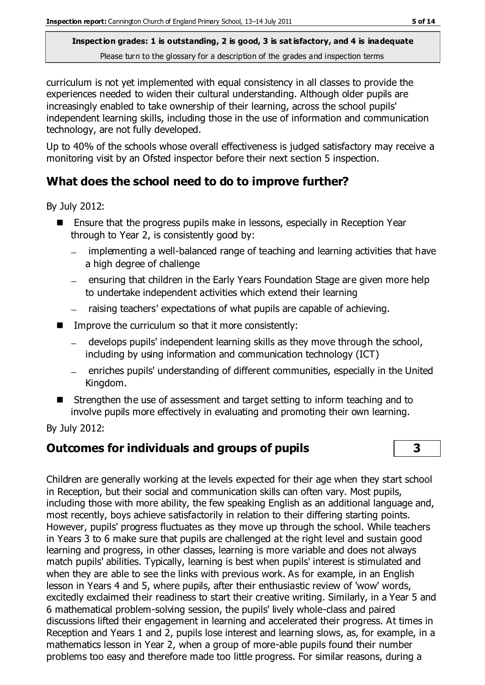curriculum is not yet implemented with equal consistency in all classes to provide the experiences needed to widen their cultural understanding. Although older pupils are increasingly enabled to take ownership of their learning, across the school pupils' independent learning skills, including those in the use of information and communication technology, are not fully developed.

Up to 40% of the schools whose overall effectiveness is judged satisfactory may receive a monitoring visit by an Ofsted inspector before their next section 5 inspection.

### **What does the school need to do to improve further?**

By July 2012:

- Ensure that the progress pupils make in lessons, especially in Reception Year through to Year 2, is consistently good by:
	- implementing a well-balanced range of teaching and learning activities that have a high degree of challenge
	- $-$  ensuring that children in the Early Years Foundation Stage are given more help to undertake independent activities which extend their learning
	- raising teachers' expectations of what pupils are capable of achieving.
- Improve the curriculum so that it more consistently:
	- develops pupils' independent learning skills as they move through the school, including by using information and communication technology (ICT)
	- enriches pupils' understanding of different communities, especially in the United Kingdom.
- Strengthen the use of assessment and target setting to inform teaching and to involve pupils more effectively in evaluating and promoting their own learning.

By July 2012:

### **Outcomes for individuals and groups of pupils 3**

Children are generally working at the levels expected for their age when they start school in Reception, but their social and communication skills can often vary. Most pupils, including those with more ability, the few speaking English as an additional language and, most recently, boys achieve satisfactorily in relation to their differing starting points. However, pupils' progress fluctuates as they move up through the school. While teachers in Years 3 to 6 make sure that pupils are challenged at the right level and sustain good learning and progress, in other classes, learning is more variable and does not always match pupils' abilities. Typically, learning is best when pupils' interest is stimulated and when they are able to see the links with previous work. As for example, in an English lesson in Years 4 and 5, where pupils, after their enthusiastic review of 'wow' words, excitedly exclaimed their readiness to start their creative writing. Similarly, in a Year 5 and 6 mathematical problem-solving session, the pupils' lively whole-class and paired discussions lifted their engagement in learning and accelerated their progress. At times in Reception and Years 1 and 2, pupils lose interest and learning slows, as, for example, in a mathematics lesson in Year 2, when a group of more-able pupils found their number problems too easy and therefore made too little progress. For similar reasons, during a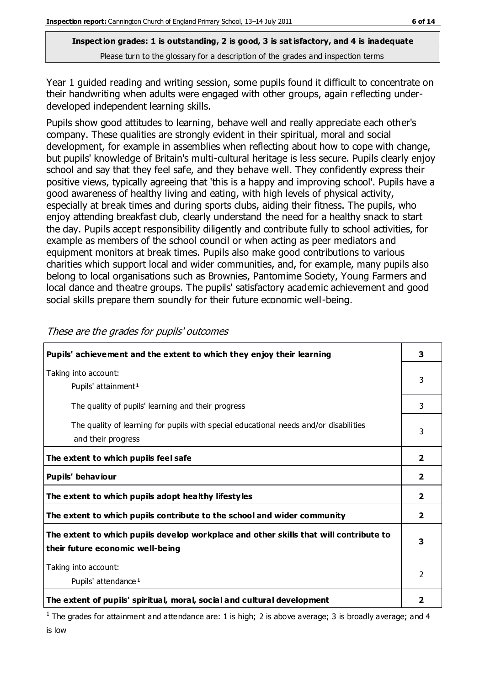Year 1 guided reading and writing session, some pupils found it difficult to concentrate on their handwriting when adults were engaged with other groups, again reflecting underdeveloped independent learning skills.

Pupils show good attitudes to learning, behave well and really appreciate each other's company. These qualities are strongly evident in their spiritual, moral and social development, for example in assemblies when reflecting about how to cope with change, but pupils' knowledge of Britain's multi-cultural heritage is less secure. Pupils clearly enjoy school and say that they feel safe, and they behave well. They confidently express their positive views, typically agreeing that 'this is a happy and improving school'. Pupils have a good awareness of healthy living and eating, with high levels of physical activity, especially at break times and during sports clubs, aiding their fitness. The pupils, who enjoy attending breakfast club, clearly understand the need for a healthy snack to start the day. Pupils accept responsibility diligently and contribute fully to school activities, for example as members of the school council or when acting as peer mediators and equipment monitors at break times. Pupils also make good contributions to various charities which support local and wider communities, and, for example, many pupils also belong to local organisations such as Brownies, Pantomime Society, Young Farmers and local dance and theatre groups. The pupils' satisfactory academic achievement and good social skills prepare them soundly for their future economic well-being.

| Pupils' achievement and the extent to which they enjoy their learning                                                     | 3                       |
|---------------------------------------------------------------------------------------------------------------------------|-------------------------|
| Taking into account:<br>Pupils' attainment <sup>1</sup>                                                                   | 3                       |
| The quality of pupils' learning and their progress                                                                        | 3                       |
| The quality of learning for pupils with special educational needs and/or disabilities<br>and their progress               |                         |
| The extent to which pupils feel safe                                                                                      | $\overline{\mathbf{2}}$ |
| Pupils' behaviour                                                                                                         | $\mathbf{2}$            |
| The extent to which pupils adopt healthy lifestyles                                                                       | $\mathbf{2}$            |
| The extent to which pupils contribute to the school and wider community                                                   | $\overline{\mathbf{2}}$ |
| The extent to which pupils develop workplace and other skills that will contribute to<br>their future economic well-being | 3                       |
| Taking into account:                                                                                                      |                         |
| Pupils' attendance <sup>1</sup>                                                                                           |                         |
| The extent of pupils' spiritual, moral, social and cultural development                                                   | 2                       |

These are the grades for pupils' outcomes

<sup>1</sup> The grades for attainment and attendance are: 1 is high; 2 is above average; 3 is broadly average; and 4 is low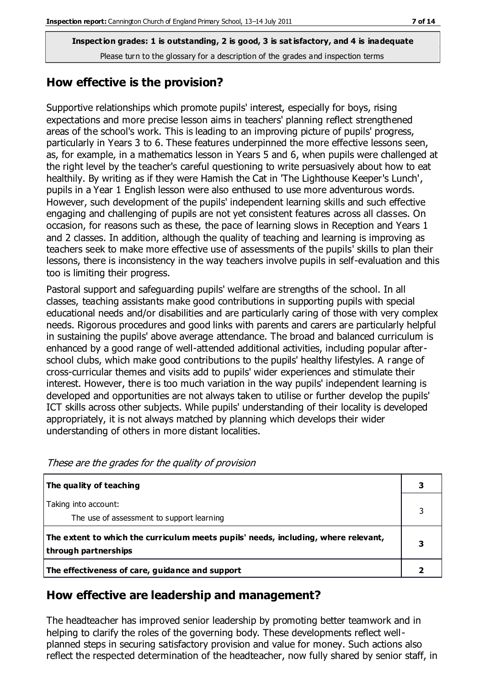### **How effective is the provision?**

Supportive relationships which promote pupils' interest, especially for boys, rising expectations and more precise lesson aims in teachers' planning reflect strengthened areas of the school's work. This is leading to an improving picture of pupils' progress, particularly in Years 3 to 6. These features underpinned the more effective lessons seen, as, for example, in a mathematics lesson in Years 5 and 6, when pupils were challenged at the right level by the teacher's careful questioning to write persuasively about how to eat healthily. By writing as if they were Hamish the Cat in 'The Lighthouse Keeper's Lunch', pupils in a Year 1 English lesson were also enthused to use more adventurous words. However, such development of the pupils' independent learning skills and such effective engaging and challenging of pupils are not yet consistent features across all classes. On occasion, for reasons such as these, the pace of learning slows in Reception and Years 1 and 2 classes. In addition, although the quality of teaching and learning is improving as teachers seek to make more effective use of assessments of the pupils' skills to plan their lessons, there is inconsistency in the way teachers involve pupils in self-evaluation and this too is limiting their progress.

Pastoral support and safeguarding pupils' welfare are strengths of the school. In all classes, teaching assistants make good contributions in supporting pupils with special educational needs and/or disabilities and are particularly caring of those with very complex needs. Rigorous procedures and good links with parents and carers are particularly helpful in sustaining the pupils' above average attendance. The broad and balanced curriculum is enhanced by a good range of well-attended additional activities, including popular afterschool clubs, which make good contributions to the pupils' healthy lifestyles. A range of cross-curricular themes and visits add to pupils' wider experiences and stimulate their interest. However, there is too much variation in the way pupils' independent learning is developed and opportunities are not always taken to utilise or further develop the pupils' ICT skills across other subjects. While pupils' understanding of their locality is developed appropriately, it is not always matched by planning which develops their wider understanding of others in more distant localities.

| The quality of teaching                                                                                    |  |
|------------------------------------------------------------------------------------------------------------|--|
| Taking into account:<br>The use of assessment to support learning                                          |  |
| The extent to which the curriculum meets pupils' needs, including, where relevant,<br>through partnerships |  |
| The effectiveness of care, guidance and support                                                            |  |

These are the grades for the quality of provision

### **How effective are leadership and management?**

The headteacher has improved senior leadership by promoting better teamwork and in helping to clarify the roles of the governing body. These developments reflect wellplanned steps in securing satisfactory provision and value for money. Such actions also reflect the respected determination of the headteacher, now fully shared by senior staff, in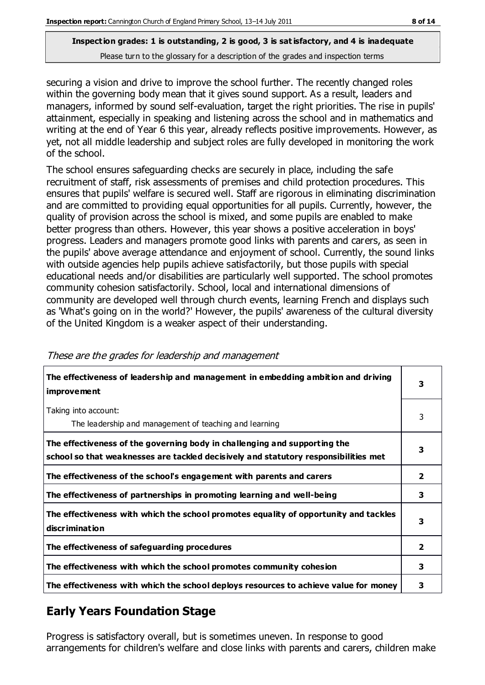securing a vision and drive to improve the school further. The recently changed roles within the governing body mean that it gives sound support. As a result, leaders and managers, informed by sound self-evaluation, target the right priorities. The rise in pupils' attainment, especially in speaking and listening across the school and in mathematics and writing at the end of Year 6 this year, already reflects positive improvements. However, as yet, not all middle leadership and subject roles are fully developed in monitoring the work of the school.

The school ensures safeguarding checks are securely in place, including the safe recruitment of staff, risk assessments of premises and child protection procedures. This ensures that pupils' welfare is secured well. Staff are rigorous in eliminating discrimination and are committed to providing equal opportunities for all pupils. Currently, however, the quality of provision across the school is mixed, and some pupils are enabled to make better progress than others. However, this year shows a positive acceleration in boys' progress. Leaders and managers promote good links with parents and carers, as seen in the pupils' above average attendance and enjoyment of school. Currently, the sound links with outside agencies help pupils achieve satisfactorily, but those pupils with special educational needs and/or disabilities are particularly well supported. The school promotes community cohesion satisfactorily. School, local and international dimensions of community are developed well through church events, learning French and displays such as 'What's going on in the world?' However, the pupils' awareness of the cultural diversity of the United Kingdom is a weaker aspect of their understanding.

| The effectiveness of leadership and management in embedding ambition and driving<br><i>improvement</i>                                                           |              |
|------------------------------------------------------------------------------------------------------------------------------------------------------------------|--------------|
| Taking into account:<br>The leadership and management of teaching and learning                                                                                   | 3            |
| The effectiveness of the governing body in challenging and supporting the<br>school so that weaknesses are tackled decisively and statutory responsibilities met | 3            |
| The effectiveness of the school's engagement with parents and carers                                                                                             | $\mathbf{2}$ |
| The effectiveness of partnerships in promoting learning and well-being                                                                                           | 3            |
| The effectiveness with which the school promotes equality of opportunity and tackles<br>discrimination                                                           | 3            |
| The effectiveness of safeguarding procedures                                                                                                                     | $\mathbf{2}$ |
| The effectiveness with which the school promotes community cohesion                                                                                              |              |
| The effectiveness with which the school deploys resources to achieve value for money                                                                             |              |

These are the grades for leadership and management

### **Early Years Foundation Stage**

Progress is satisfactory overall, but is sometimes uneven. In response to good arrangements for children's welfare and close links with parents and carers, children make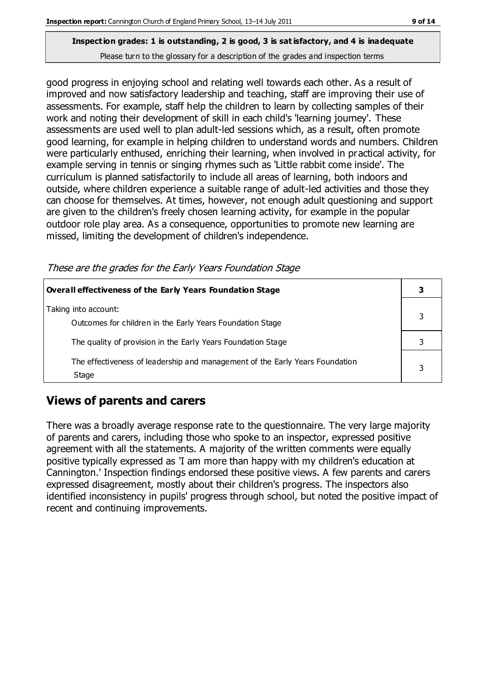# **Inspection grades: 1 is outstanding, 2 is good, 3 is sat isfactory, and 4 is inadequate**

Please turn to the glossary for a description of the grades and inspection terms

good progress in enjoying school and relating well towards each other. As a result of improved and now satisfactory leadership and teaching, staff are improving their use of assessments. For example, staff help the children to learn by collecting samples of their work and noting their development of skill in each child's 'learning journey'. These assessments are used well to plan adult-led sessions which, as a result, often promote good learning, for example in helping children to understand words and numbers. Children were particularly enthused, enriching their learning, when involved in practical activity, for example serving in tennis or singing rhymes such as 'Little rabbit come inside'. The curriculum is planned satisfactorily to include all areas of learning, both indoors and outside, where children experience a suitable range of adult-led activities and those they can choose for themselves. At times, however, not enough adult questioning and support are given to the children's freely chosen learning activity, for example in the popular outdoor role play area. As a consequence, opportunities to promote new learning are missed, limiting the development of children's independence.

These are the grades for the Early Years Foundation Stage

| Overall effectiveness of the Early Years Foundation Stage                             |  |
|---------------------------------------------------------------------------------------|--|
| Taking into account:<br>Outcomes for children in the Early Years Foundation Stage     |  |
| The quality of provision in the Early Years Foundation Stage                          |  |
| The effectiveness of leadership and management of the Early Years Foundation<br>Stage |  |

### **Views of parents and carers**

There was a broadly average response rate to the questionnaire. The very large majority of parents and carers, including those who spoke to an inspector, expressed positive agreement with all the statements. A majority of the written comments were equally positive typically expressed as 'I am more than happy with my children's education at Cannington.' Inspection findings endorsed these positive views. A few parents and carers expressed disagreement, mostly about their children's progress. The inspectors also identified inconsistency in pupils' progress through school, but noted the positive impact of recent and continuing improvements.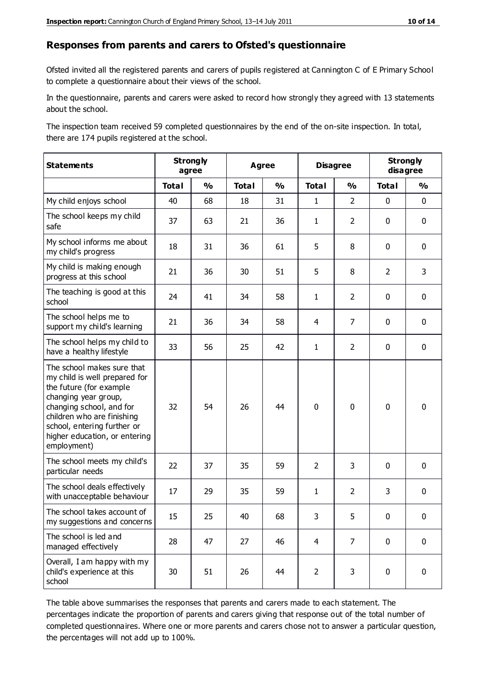#### **Responses from parents and carers to Ofsted's questionnaire**

Ofsted invited all the registered parents and carers of pupils registered at Cannington C of E Primary School to complete a questionnaire about their views of the school.

In the questionnaire, parents and carers were asked to record how strongly they agreed with 13 statements about the school.

The inspection team received 59 completed questionnaires by the end of the on-site inspection. In total, there are 174 pupils registered at the school.

| <b>Statements</b>                                                                                                                                                                                                                                       | <b>Strongly</b><br>agree |               | <b>Agree</b> |               | <b>Disagree</b> |                | <b>Strongly</b><br>disagree |               |
|---------------------------------------------------------------------------------------------------------------------------------------------------------------------------------------------------------------------------------------------------------|--------------------------|---------------|--------------|---------------|-----------------|----------------|-----------------------------|---------------|
|                                                                                                                                                                                                                                                         | <b>Total</b>             | $\frac{0}{0}$ | <b>Total</b> | $\frac{0}{0}$ | <b>Total</b>    | $\frac{0}{0}$  | <b>Total</b>                | $\frac{0}{0}$ |
| My child enjoys school                                                                                                                                                                                                                                  | 40                       | 68            | 18           | 31            | $\mathbf{1}$    | $\overline{2}$ | $\mathbf 0$                 | $\mathbf 0$   |
| The school keeps my child<br>safe                                                                                                                                                                                                                       | 37                       | 63            | 21           | 36            | 1               | $\overline{2}$ | $\mathbf 0$                 | $\mathbf 0$   |
| My school informs me about<br>my child's progress                                                                                                                                                                                                       | 18                       | 31            | 36           | 61            | 5               | 8              | $\mathbf 0$                 | $\mathbf 0$   |
| My child is making enough<br>progress at this school                                                                                                                                                                                                    | 21                       | 36            | 30           | 51            | 5               | 8              | $\overline{2}$              | 3             |
| The teaching is good at this<br>school                                                                                                                                                                                                                  | 24                       | 41            | 34           | 58            | 1               | $\overline{2}$ | 0                           | $\mathbf 0$   |
| The school helps me to<br>support my child's learning                                                                                                                                                                                                   | 21                       | 36            | 34           | 58            | 4               | $\overline{7}$ | 0                           | $\mathbf 0$   |
| The school helps my child to<br>have a healthy lifestyle                                                                                                                                                                                                | 33                       | 56            | 25           | 42            | 1               | $\overline{2}$ | $\mathbf 0$                 | $\mathbf 0$   |
| The school makes sure that<br>my child is well prepared for<br>the future (for example<br>changing year group,<br>changing school, and for<br>children who are finishing<br>school, entering further or<br>higher education, or entering<br>employment) | 32                       | 54            | 26           | 44            | $\mathbf 0$     | 0              | $\mathbf 0$                 | $\mathbf 0$   |
| The school meets my child's<br>particular needs                                                                                                                                                                                                         | 22                       | 37            | 35           | 59            | $\overline{2}$  | 3              | $\mathbf 0$                 | $\mathbf 0$   |
| The school deals effectively<br>with unacceptable behaviour                                                                                                                                                                                             | 17                       | 29            | 35           | 59            | $\mathbf{1}$    | $\overline{2}$ | 3                           | $\pmb{0}$     |
| The school takes account of<br>my suggestions and concerns                                                                                                                                                                                              | 15                       | 25            | 40           | 68            | 3               | 5              | 0                           | 0             |
| The school is led and<br>managed effectively                                                                                                                                                                                                            | 28                       | 47            | 27           | 46            | $\overline{4}$  | $\overline{7}$ | $\mathbf 0$                 | $\mathbf 0$   |
| Overall, I am happy with my<br>child's experience at this<br>school                                                                                                                                                                                     | 30                       | 51            | 26           | 44            | $\overline{2}$  | 3              | $\mathbf 0$                 | $\mathbf 0$   |

The table above summarises the responses that parents and carers made to each statement. The percentages indicate the proportion of parents and carers giving that response out of the total number of completed questionnaires. Where one or more parents and carers chose not to answer a particular question, the percentages will not add up to 100%.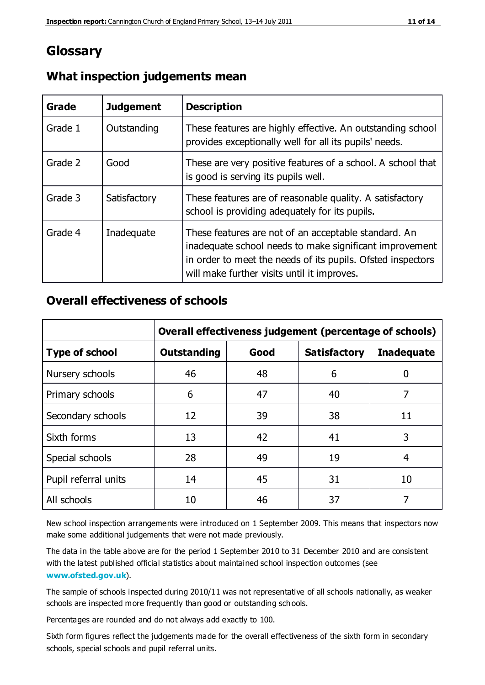### **Glossary**

| Grade   | <b>Judgement</b> | <b>Description</b>                                                                                                                                                                                                            |
|---------|------------------|-------------------------------------------------------------------------------------------------------------------------------------------------------------------------------------------------------------------------------|
| Grade 1 | Outstanding      | These features are highly effective. An outstanding school<br>provides exceptionally well for all its pupils' needs.                                                                                                          |
| Grade 2 | Good             | These are very positive features of a school. A school that<br>is good is serving its pupils well.                                                                                                                            |
| Grade 3 | Satisfactory     | These features are of reasonable quality. A satisfactory<br>school is providing adequately for its pupils.                                                                                                                    |
| Grade 4 | Inadequate       | These features are not of an acceptable standard. An<br>inadequate school needs to make significant improvement<br>in order to meet the needs of its pupils. Ofsted inspectors<br>will make further visits until it improves. |

### **What inspection judgements mean**

### **Overall effectiveness of schools**

|                       | Overall effectiveness judgement (percentage of schools) |      |                     |                   |
|-----------------------|---------------------------------------------------------|------|---------------------|-------------------|
| <b>Type of school</b> | <b>Outstanding</b>                                      | Good | <b>Satisfactory</b> | <b>Inadequate</b> |
| Nursery schools       | 46                                                      | 48   | 6                   |                   |
| Primary schools       | 6                                                       | 47   | 40                  | 7                 |
| Secondary schools     | 12                                                      | 39   | 38                  | 11                |
| Sixth forms           | 13                                                      | 42   | 41                  | 3                 |
| Special schools       | 28                                                      | 49   | 19                  | 4                 |
| Pupil referral units  | 14                                                      | 45   | 31                  | 10                |
| All schools           | 10                                                      | 46   | 37                  |                   |

New school inspection arrangements were introduced on 1 September 2009. This means that inspectors now make some additional judgements that were not made previously.

The data in the table above are for the period 1 September 2010 to 31 December 2010 and are consistent with the latest published official statistics about maintained school inspection outcomes (see **[www.ofsted.gov.uk](http://www.ofsted.gov.uk/)**).

The sample of schools inspected during 2010/11 was not representative of all schools nationally, as weaker schools are inspected more frequently than good or outstanding schools.

Percentages are rounded and do not always add exactly to 100.

Sixth form figures reflect the judgements made for the overall effectiveness of the sixth form in secondary schools, special schools and pupil referral units.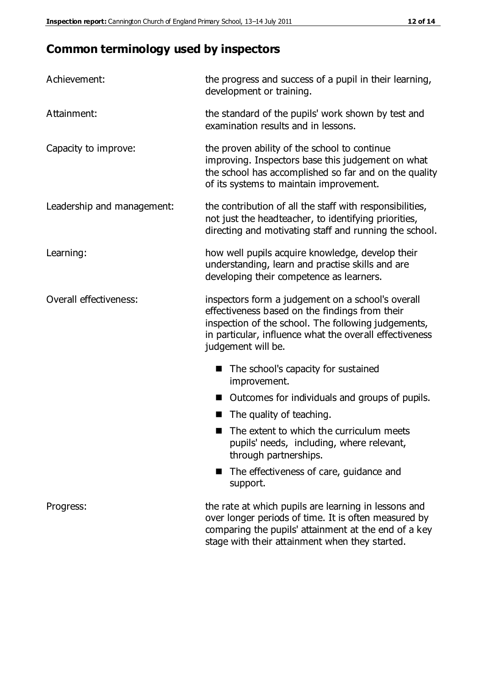### **Common terminology used by inspectors**

| Achievement:               | the progress and success of a pupil in their learning,<br>development or training.                                                                                                                                                          |  |  |
|----------------------------|---------------------------------------------------------------------------------------------------------------------------------------------------------------------------------------------------------------------------------------------|--|--|
| Attainment:                | the standard of the pupils' work shown by test and<br>examination results and in lessons.                                                                                                                                                   |  |  |
| Capacity to improve:       | the proven ability of the school to continue<br>improving. Inspectors base this judgement on what<br>the school has accomplished so far and on the quality<br>of its systems to maintain improvement.                                       |  |  |
| Leadership and management: | the contribution of all the staff with responsibilities,<br>not just the headteacher, to identifying priorities,<br>directing and motivating staff and running the school.                                                                  |  |  |
| Learning:                  | how well pupils acquire knowledge, develop their<br>understanding, learn and practise skills and are<br>developing their competence as learners.                                                                                            |  |  |
| Overall effectiveness:     | inspectors form a judgement on a school's overall<br>effectiveness based on the findings from their<br>inspection of the school. The following judgements,<br>in particular, influence what the overall effectiveness<br>judgement will be. |  |  |
|                            | The school's capacity for sustained<br>improvement.                                                                                                                                                                                         |  |  |
|                            | Outcomes for individuals and groups of pupils.                                                                                                                                                                                              |  |  |
|                            | The quality of teaching.                                                                                                                                                                                                                    |  |  |
|                            | The extent to which the curriculum meets<br>pupils' needs, including, where relevant,<br>through partnerships.                                                                                                                              |  |  |
|                            | The effectiveness of care, guidance and<br>support.                                                                                                                                                                                         |  |  |
| Progress:                  | the rate at which pupils are learning in lessons and<br>over longer periods of time. It is often measured by<br>comparing the pupils' attainment at the end of a key                                                                        |  |  |

stage with their attainment when they started.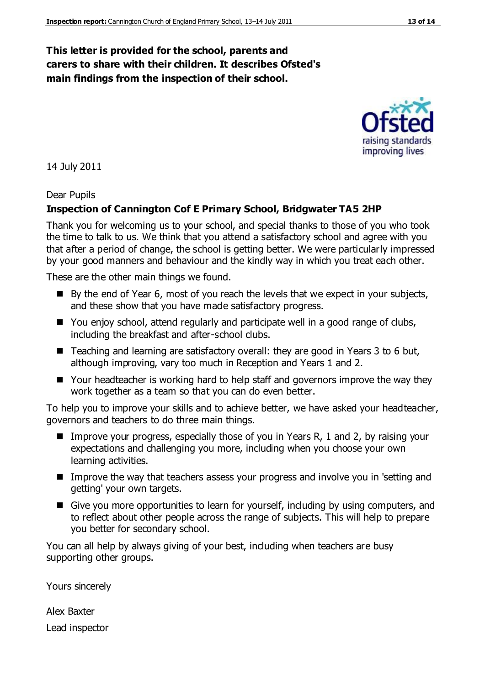### **This letter is provided for the school, parents and carers to share with their children. It describes Ofsted's main findings from the inspection of their school.**

14 July 2011

#### Dear Pupils

#### **Inspection of Cannington Cof E Primary School, Bridgwater TA5 2HP**

Thank you for welcoming us to your school, and special thanks to those of you who took the time to talk to us. We think that you attend a satisfactory school and agree with you that after a period of change, the school is getting better. We were particularly impressed by your good manners and behaviour and the kindly way in which you treat each other.

These are the other main things we found.

- $\blacksquare$  By the end of Year 6, most of you reach the levels that we expect in your subjects, and these show that you have made satisfactory progress.
- You enjoy school, attend regularly and participate well in a good range of clubs, including the breakfast and after-school clubs.
- Teaching and learning are satisfactory overall: they are good in Years 3 to 6 but, although improving, vary too much in Reception and Years 1 and 2.
- Your headteacher is working hard to help staff and governors improve the way they work together as a team so that you can do even better.

To help you to improve your skills and to achieve better, we have asked your headteacher, governors and teachers to do three main things.

- Improve your progress, especially those of you in Years R, 1 and 2, by raising your expectations and challenging you more, including when you choose your own learning activities.
- **IMPROVE THE WAY THAT THE EXAMPLE 25 IMPROVE SH** Improve the way that teachers assess your progress and involve you in 'setting and getting' your own targets.
- Give you more opportunities to learn for yourself, including by using computers, and to reflect about other people across the range of subjects. This will help to prepare you better for secondary school.

You can all help by always giving of your best, including when teachers are busy supporting other groups.

Yours sincerely

Alex Baxter Lead inspector



improving lives